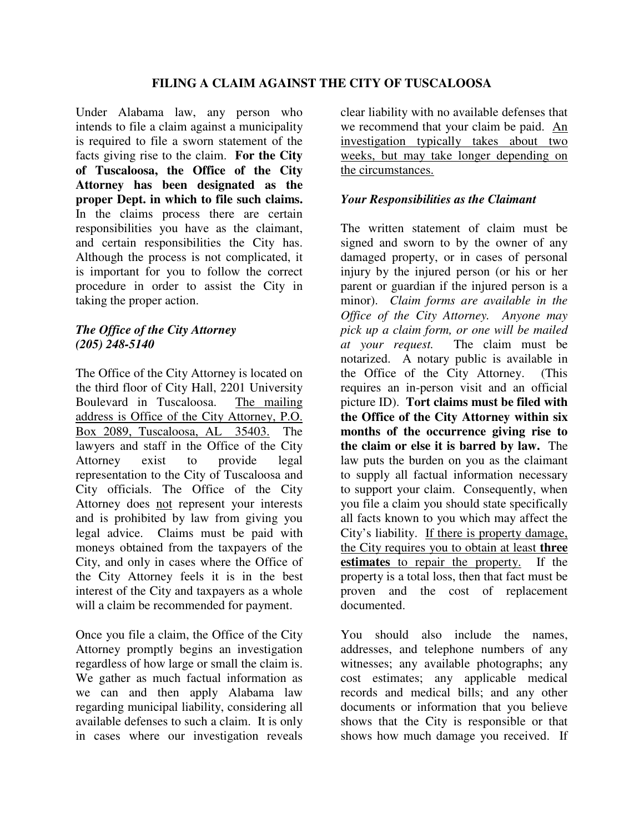Under Alabama law, any person who intends to file a claim against a municipality is required to file a sworn statement of the facts giving rise to the claim. **For the City of Tuscaloosa, the Office of the City Attorney has been designated as the proper Dept. in which to file such claims.**  In the claims process there are certain responsibilities you have as the claimant, and certain responsibilities the City has. Although the process is not complicated, it is important for you to follow the correct procedure in order to assist the City in taking the proper action.

### *The Office of the City Attorney (205) 248-5140*

The Office of the City Attorney is located on the third floor of City Hall, 2201 University Boulevard in Tuscaloosa. The mailing address is Office of the City Attorney, P.O. Box 2089, Tuscaloosa, AL 35403. The lawyers and staff in the Office of the City Attorney exist to provide legal representation to the City of Tuscaloosa and City officials. The Office of the City Attorney does not represent your interests and is prohibited by law from giving you legal advice. Claims must be paid with moneys obtained from the taxpayers of the City, and only in cases where the Office of the City Attorney feels it is in the best interest of the City and taxpayers as a whole will a claim be recommended for payment.

Once you file a claim, the Office of the City Attorney promptly begins an investigation regardless of how large or small the claim is. We gather as much factual information as we can and then apply Alabama law regarding municipal liability, considering all available defenses to such a claim. It is only in cases where our investigation reveals

clear liability with no available defenses that we recommend that your claim be paid. An investigation typically takes about two weeks, but may take longer depending on the circumstances.

## *Your Responsibilities as the Claimant*

The written statement of claim must be signed and sworn to by the owner of any damaged property, or in cases of personal injury by the injured person (or his or her parent or guardian if the injured person is a minor). *Claim forms are available in the Office of the City Attorney. Anyone may pick up a claim form, or one will be mailed at your request.* The claim must be notarized. A notary public is available in the Office of the City Attorney. (This requires an in-person visit and an official picture ID). **Tort claims must be filed with the Office of the City Attorney within six months of the occurrence giving rise to the claim or else it is barred by law.** The law puts the burden on you as the claimant to supply all factual information necessary to support your claim. Consequently, when you file a claim you should state specifically all facts known to you which may affect the City's liability. If there is property damage, the City requires you to obtain at least **three estimates** to repair the property. If the property is a total loss, then that fact must be proven and the cost of replacement documented.

You should also include the names, addresses, and telephone numbers of any witnesses; any available photographs; any cost estimates; any applicable medical records and medical bills; and any other documents or information that you believe shows that the City is responsible or that shows how much damage you received. If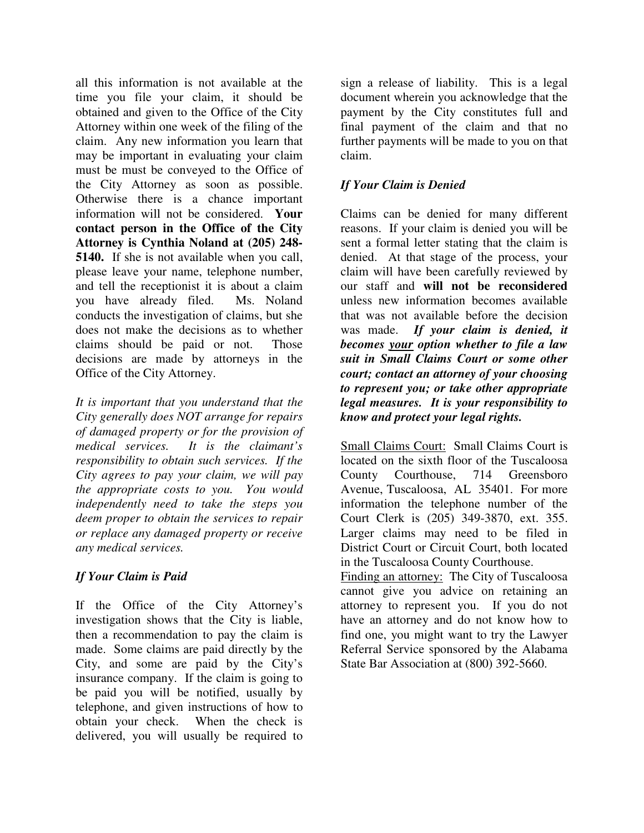all this information is not available at the time you file your claim, it should be obtained and given to the Office of the City Attorney within one week of the filing of the claim. Any new information you learn that may be important in evaluating your claim must be must be conveyed to the Office of the City Attorney as soon as possible. Otherwise there is a chance important information will not be considered. **Your contact person in the Office of the City Attorney is Cynthia Noland at (205) 248- 5140.** If she is not available when you call, please leave your name, telephone number, and tell the receptionist it is about a claim you have already filed. Ms. Noland conducts the investigation of claims, but she does not make the decisions as to whether claims should be paid or not. Those decisions are made by attorneys in the Office of the City Attorney.

*It is important that you understand that the City generally does NOT arrange for repairs of damaged property or for the provision of medical services. It is the claimant's responsibility to obtain such services. If the City agrees to pay your claim, we will pay the appropriate costs to you. You would independently need to take the steps you deem proper to obtain the services to repair or replace any damaged property or receive any medical services.* 

# *If Your Claim is Paid*

If the Office of the City Attorney's investigation shows that the City is liable, then a recommendation to pay the claim is made. Some claims are paid directly by the City, and some are paid by the City's insurance company. If the claim is going to be paid you will be notified, usually by telephone, and given instructions of how to obtain your check. When the check is delivered, you will usually be required to

sign a release of liability. This is a legal document wherein you acknowledge that the payment by the City constitutes full and final payment of the claim and that no further payments will be made to you on that claim.

## *If Your Claim is Denied*

Claims can be denied for many different reasons. If your claim is denied you will be sent a formal letter stating that the claim is denied. At that stage of the process, your claim will have been carefully reviewed by our staff and **will not be reconsidered** unless new information becomes available that was not available before the decision was made. *If your claim is denied, it becomes your option whether to file a law suit in Small Claims Court or some other court; contact an attorney of your choosing to represent you; or take other appropriate legal measures. It is your responsibility to know and protect your legal rights.* 

Small Claims Court: Small Claims Court is located on the sixth floor of the Tuscaloosa County Courthouse, 714 Greensboro Avenue, Tuscaloosa, AL 35401. For more information the telephone number of the Court Clerk is (205) 349-3870, ext. 355. Larger claims may need to be filed in District Court or Circuit Court, both located in the Tuscaloosa County Courthouse.

Finding an attorney: The City of Tuscaloosa cannot give you advice on retaining an attorney to represent you. If you do not have an attorney and do not know how to find one, you might want to try the Lawyer Referral Service sponsored by the Alabama State Bar Association at (800) 392-5660.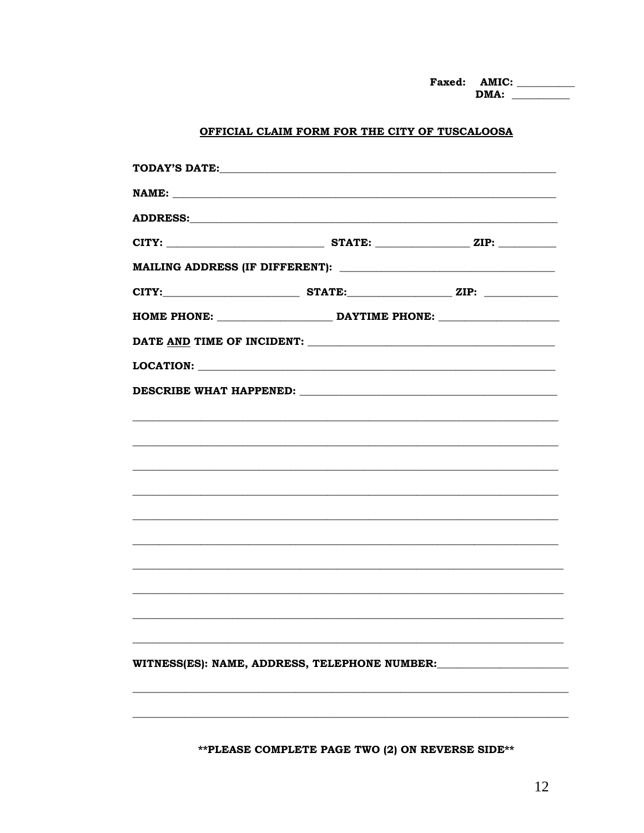#### OFFICIAL CLAIM FORM FOR THE CITY OF TUSCALOOSA

| NAME:                                         |  |  |  |  |  |
|-----------------------------------------------|--|--|--|--|--|
|                                               |  |  |  |  |  |
|                                               |  |  |  |  |  |
|                                               |  |  |  |  |  |
|                                               |  |  |  |  |  |
|                                               |  |  |  |  |  |
|                                               |  |  |  |  |  |
|                                               |  |  |  |  |  |
|                                               |  |  |  |  |  |
|                                               |  |  |  |  |  |
|                                               |  |  |  |  |  |
|                                               |  |  |  |  |  |
|                                               |  |  |  |  |  |
|                                               |  |  |  |  |  |
|                                               |  |  |  |  |  |
|                                               |  |  |  |  |  |
|                                               |  |  |  |  |  |
|                                               |  |  |  |  |  |
|                                               |  |  |  |  |  |
| WITNESS(ES): NAME, ADDRESS, TELEPHONE NUMBER: |  |  |  |  |  |
|                                               |  |  |  |  |  |
|                                               |  |  |  |  |  |

\*\* PLEASE COMPLETE PAGE TWO (2) ON REVERSE SIDE\*\*